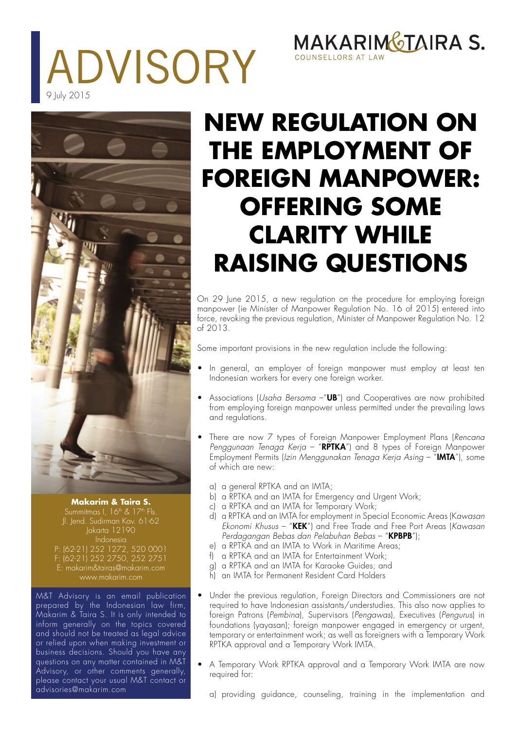# ADVISORY 9 July 2015

## MAKARIMGTAIRA S. COUNSELLORS AT L



#### **Makarim & Taira S.**

Jl. Jend. Sudirman Kav. 61-62 Jakarta 12190 Indonesia P: (62-21) 252 1272, 520 0001 F: (62-21) 252 2750, 252 2751 E: makarim&tairas@makarim.com www.makarim.com

M&T Advisory is an email publication prepared by the Indonesian law firm, Makarim & Taira S. It is only intended to inform generally on the topics covered and should not be treated as legal advice or relied upon when making investment or business decisions. Should you have any questions on any matter contained in M&T Advisory, or other comments generally, please contact your usual M&T contact or advisories@makarim.com

## **NEW REGULATION ON THE EMPLOYMENT OF FOREIGN MANPOWER: OFFERING SOME CLARITY WHILE RAISING QUESTIONS**

On 29 June 2015, a new regulation on the procedure for employing foreign manpower (ie Minister of Manpower Regulation No. 16 of 2015) entered into force, revoking the previous regulation, Minister of Manpower Regulation No. 12 of 2013.

Some important provisions in the new regulation include the following:

- In general, an employer of foreign manpower must employ at least ten Indonesian workers for every one foreign worker.
- Associations (Usaha Bersama  $-\mathbf{''UB''}$ ) and Cooperatives are now prohibited from employing foreign manpower unless permitted under the prevailing laws and regulations.
- There are now 7 types of Foreign Manpower Employment Plans (Rencana Penggunaan Tenaga Kerja – " $RPTKA''$ ) and 8 types of Foreign Manpower Employment Permits (Izin Menggunakan Tenaga Kerja Asing - "IMTA"), some of which are new:
	- a) a general RPTKA and an IMTA;
	- b) a RPTKA and an IMTA for Emergency and Urgent Work;
	- c) a RPTKA and an IMTA for Temporary Work;
	- d) a RPTKA and an IMTA for employment in Special Economic Areas (Kawasan Ekonomi Khusus – "KEK") and Free Trade and Free Port Areas (Kawasan Perdagangan Bebas dan Pelabuhan Bebas – "KPBPB");
	- e) a RPTKA and an IMTA to Work in Maritime Areas:
	- f) a RPTKA and an IMTA for Entertainment Work;
	- g) a RPTKA and an IMTA for Karaoke Guides; and
	- h) an IMTA for Permanent Resident Card Holders
- Under the previous regulation, Foreign Directors and Commissioners are not required to have Indonesian assistants/understudies. This also now applies to foreign Patrons (Pembina), Supervisors (Pengawas), Executives (Pengurus) in foundations (yayasan); foreign manpower engaged in emergency or urgent, temporary or entertainment work; as well as foreigners with a Temporary Work RPTKA approval and a Temporary Work IMTA.
- A Temporary Work RPTKA approval and a Temporary Work IMTA are now required for:
	- a) providing guidance, counseling, training in the implementation and